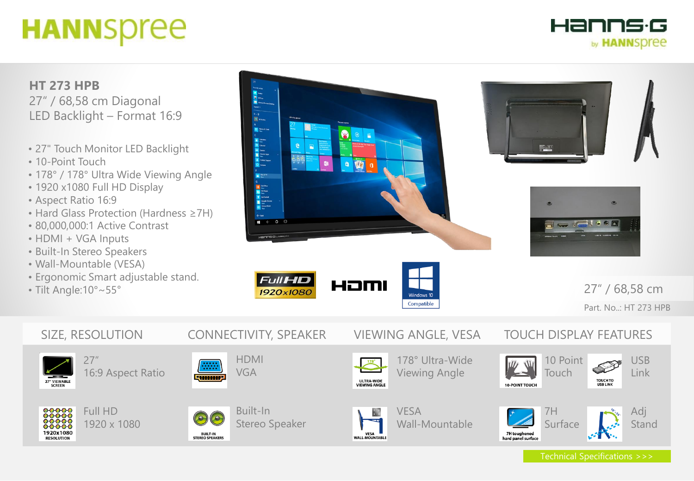# **HANNSpree**

Hanns·G by **HANNSDree** 

### **HT 273 HPB** 27" / 68,58 cm Diagonal LED Backlight – Format 16:9

- 27" Touch Monitor LED Backlight
- 10-Point Touch
- 178° / 178° Ultra Wide Viewing Angle
- 1920 x1080 Full HD Display
- Aspect Ratio 16:9
- Hard Glass Protection (Hardness ≥7H)
- 80,000,000:1 Active Contrast
- HDMI + VGA Inputs
- Built-In Stereo Speakers
- Wall-Mountable (VESA)
- Ergonomic Smart adjustable stand.
- Tilt Angle:10°~55°









27" / 68,58 cm Part. No..: HT 273 HPB

## SIZE, RESOLUTION CONNECTIVITY, SPEAKER VIEWING ANGLE, VESA TOUCH DISPLAY FEATURES 27"



**RESOLUTION** 



#### 00000<br>00000<br>00000 Full HD 1920 x 1080  $00000$ 1920x1080



49.99 **STATISTIC** 

**BUILT-IN** 

STEREO SPEAKERS

### Built-In Stereo Speaker

HDMI VGA



VESA VESA

VESA Wall-Mountable

178° Ultra-Wide







Technical Specifications >>>